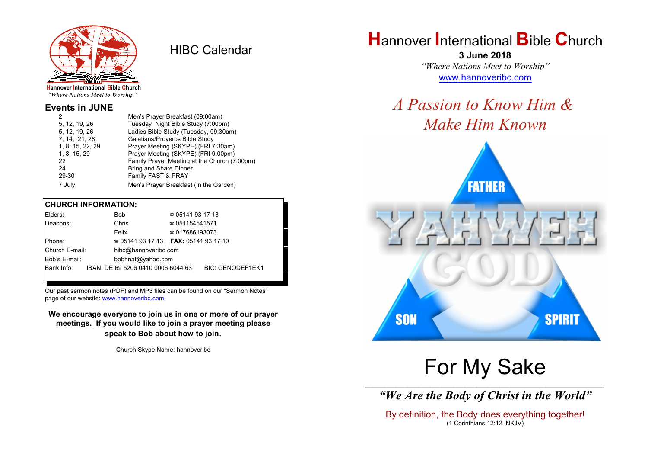

HIBC Calendar

"Where Nations Meet to Worship"

#### **Events in JUNE**

| 2                | Men's Prayer Breakfast (09:00am)             |
|------------------|----------------------------------------------|
| 5, 12, 19, 26    | Tuesday Night Bible Study (7:00pm)           |
| 5, 12, 19, 26    | Ladies Bible Study (Tuesday, 09:30am)        |
| 7, 14, 21, 28    | Galatians/Proverbs Bible Study               |
| 1, 8, 15, 22, 29 | Prayer Meeting (SKYPE) (FRI 7:30am)          |
| 1, 8, 15, 29     | Prayer Meeting (SKYPE) (FRI 9:00pm)          |
| 22               | Family Prayer Meeting at the Church (7:00pm) |
| 24               | Bring and Share Dinner                       |
| 29-30            | Family FAST & PRAY                           |
| 7 July           | Men's Prayer Breakfast (In the Garden)       |
|                  |                                              |

#### **CHURCH INFORMATION:**

| Elders:        | <b>Bob</b>                               | $\approx 05141931713$  |                  |
|----------------|------------------------------------------|------------------------|------------------|
| Deacons:       | Chris                                    | $\approx 051154541571$ |                  |
|                | Felix                                    | $\approx 017686193073$ |                  |
| Phone:         | $\approx 05141931713$ FAX: 0514193 17 10 |                        |                  |
| Church E-mail: | hibc@hannoveribc.com                     |                        |                  |
| Bob's E-mail:  | bobhnat@yahoo.com                        |                        |                  |
| Bank Info:     | IBAN: DE 69 5206 0410 0006 6044 63       |                        | BIC: GENODEF1EK1 |
|                |                                          |                        |                  |

Our past sermon notes (PDF) and MP3 files can be found on our "Sermon Notes" page of our website: [www.hannoveribc.com.](http://www.hannoveribc.com.)

**We encourage everyone to join us in one or more of our prayer meetings. If you would like to join a prayer meeting please speak to Bob about how to join**.

Church Skype Name: hannoveribc

# **H**annover **I**nternational **B**ible **C**hurch

**3 June 2018** *"Where Nations Meet to Worship"* [www.hannoveribc.com](http://www.hannoveribc.com)

# *A Passion to Know Him & Make Him Known*



# For My Sake

\_\_\_\_\_\_\_\_\_\_\_\_\_\_\_\_\_\_\_\_\_\_\_\_\_\_\_\_\_\_\_\_\_\_\_\_\_\_\_\_\_\_\_\_\_\_\_\_\_\_\_\_\_\_\_\_\_\_\_\_\_\_ *"We Are the Body of Christ in the World"*

By definition, the Body does everything together! (1 Corinthians 12:12 NKJV)